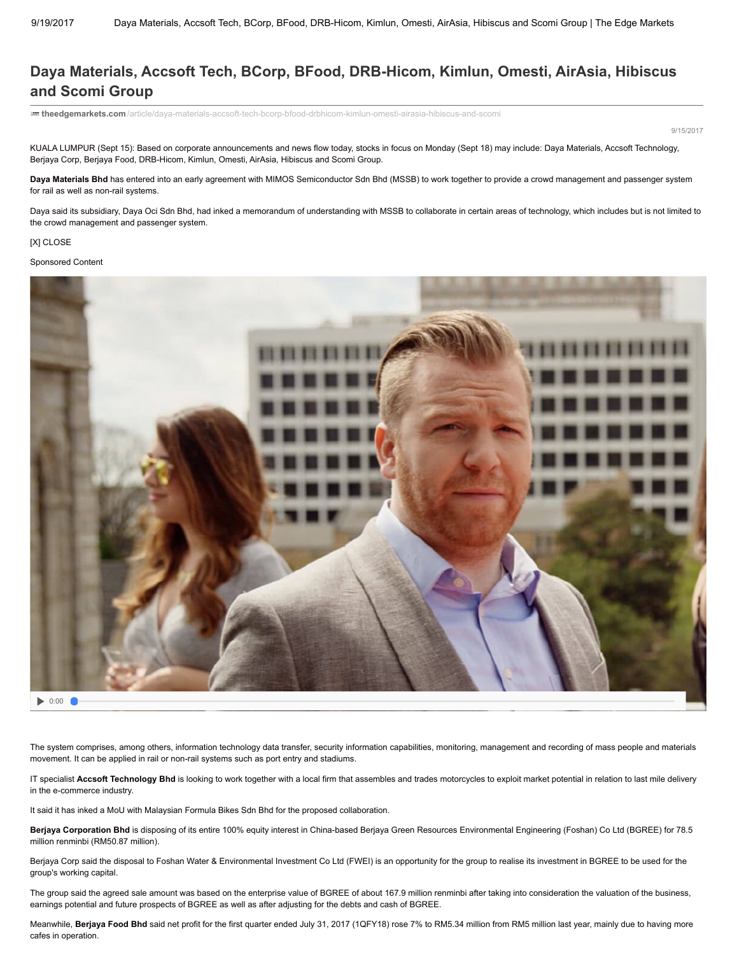## Daya Materials, Accsoft Tech, BCorp, BFood, DRB-Hicom, Kimlun, Omesti, AirAsia, Hibiscus and Scomi Group

[theedgemarkets.com/article/daya-materials-accsoft-tech-bcorp-bfood-drbhicom-kimlun-omesti-airasia-hibiscus-and-scomi](http://www.theedgemarkets.com/article/daya-materials-accsoft-tech-bcorp-bfood-drbhicom-kimlun-omesti-airasia-hibiscus-and-scomi)

9/15/2017

KUALA LUMPUR (Sept 15): Based on corporate announcements and news flow today, stocks in focus on Monday (Sept 18) may include: Daya Materials, Accsoft Technology, Berjaya Corp, Berjaya Food, DRB-Hicom, Kimlun, Omesti, AirAsia, Hibiscus and Scomi Group.

Daya Materials Bhd has entered into an early agreement with MIMOS Semiconductor Sdn Bhd (MSSB) to work together to provide a crowd management and passenger system for rail as well as non-rail systems.

Daya said its subsidiary, Daya Oci Sdn Bhd, had inked a memorandum of understanding with MSSB to collaborate in certain areas of technology, which includes but is not limited to the crowd management and passenger system.

## [X] CLOSE

## Sponsored Content



0:00

The system comprises, among others, information technology data transfer, security information capabilities, monitoring, management and recording of mass people and materials movement. It can be applied in rail or non-rail systems such as port entry and stadiums.

IT specialist Accsoft Technology Bhd is looking to work together with a local firm that assembles and trades motorcycles to exploit market potential in relation to last mile delivery in the e-commerce industry.

It said it has inked a MoU with Malaysian Formula Bikes Sdn Bhd for the proposed collaboration.

Berjaya Corporation Bhd is disposing of its entire 100% equity interest in China-based Berjaya Green Resources Environmental Engineering (Foshan) Co Ltd (BGREE) for 78.5 million renminbi (RM50.87 million).

Berjaya Corp said the disposal to Foshan Water & Environmental Investment Co Ltd (FWEI) is an opportunity for the group to realise its investment in BGREE to be used for the group's working capital.

The group said the agreed sale amount was based on the enterprise value of BGREE of about 167.9 million renminbi after taking into consideration the valuation of the business, earnings potential and future prospects of BGREE as well as after adjusting for the debts and cash of BGREE.

Meanwhile, Berjaya Food Bhd said net profit for the first quarter ended July 31, 2017 (1QFY18) rose 7% to RM5.34 million from RM5 million last year, mainly due to having more cafes in operation.